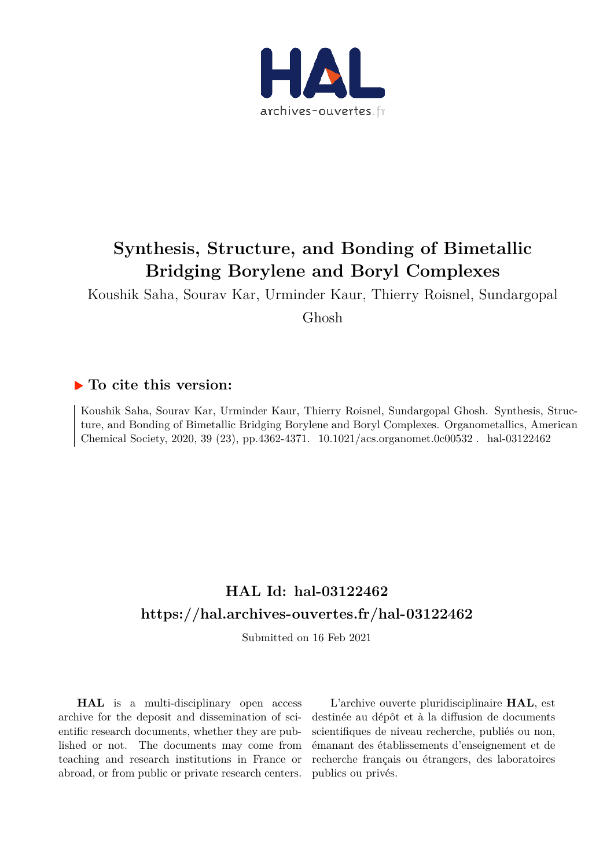

# **Synthesis, Structure, and Bonding of Bimetallic Bridging Borylene and Boryl Complexes**

Koushik Saha, Sourav Kar, Urminder Kaur, Thierry Roisnel, Sundargopal

Ghosh

## **To cite this version:**

Koushik Saha, Sourav Kar, Urminder Kaur, Thierry Roisnel, Sundargopal Ghosh. Synthesis, Structure, and Bonding of Bimetallic Bridging Borylene and Boryl Complexes. Organometallics, American Chemical Society, 2020, 39 (23), pp.4362-4371. 10.1021/acs.organomet.0c00532. hal-03122462

## **HAL Id: hal-03122462 https://hal.archives-ouvertes.fr/hal-03122462**

Submitted on 16 Feb 2021

**HAL** is a multi-disciplinary open access archive for the deposit and dissemination of scientific research documents, whether they are published or not. The documents may come from teaching and research institutions in France or abroad, or from public or private research centers.

L'archive ouverte pluridisciplinaire **HAL**, est destinée au dépôt et à la diffusion de documents scientifiques de niveau recherche, publiés ou non, émanant des établissements d'enseignement et de recherche français ou étrangers, des laboratoires publics ou privés.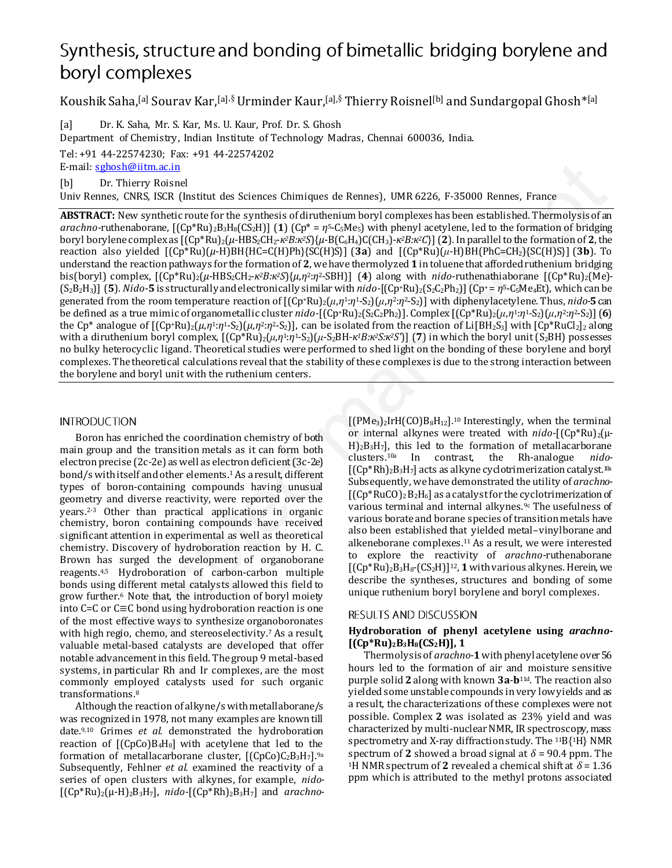## Synthesis, structure and bonding of bimetallic bridging borylene and boryl complexes

Koushik Saha,[a] Sourav Kar,[a],§ Urminder Kaur,[a],§ Thierry Roisnel[b] and Sundargopal Ghosh\*[a]

[a] Dr. K. Saha, Mr. S. Kar, Ms. U. Kaur, Prof. Dr. S. Ghosh

Department of Chemistry, Indian Institute of Technology Madras, Chennai 600036, India.

Tel: +91 44-22574230; Fax: +91 44-22574202 E-mail: sghosh@iitm.ac.in

[b] Dr. Thierry Roisnel

Univ Rennes, CNRS, ISCR (Institut des Sciences Chimiques de Rennes), UMR 6226, F-35000 Rennes, France

**ABSTRACT:** New synthetic route for the synthesis of diruthenium boryl complexes has been established. Thermolysis of an *arachno*-ruthenaborane, [(Cp\*Ru)2B3H8(CS2H)] (**1**) (Cp\* = *η*5-C5Me5) with phenyl acetylene, led to the formation of bridging boryl borylene complex as [(Cp\*Ru)2(*µ*-HBS2CH2-*κ2B:κ2S*){*µ*-B(C6H4)C(CH3)-*κ2B:κ2C*}] (**2**). In parallel to the formation of **2**, the reaction also yielded [(Cp\*Ru)(*μ*-H)BH{HC=C(H)Ph}{SC(H)S}] (**3a**) and [(Cp\*Ru)(*μ*-H)BH(PhC=CH2){SC(H)S}] (**3b**). To understand the reaction pathways for the formation of **2**, we have thermolyzed **1** in toluene that afforded ruthenium bridging bis(boryl) complex, [(Cp\*Ru)2(*µ*-HBS2CH2-*κ2B:κ2S*){*µ*,*η*2:*η*2-SBH}] (**4**) along with *nido*-ruthenathiaborane [(Cp\*Ru)2(Me)-  $(S_2B_2H_3]$  (5). *Nido*-5 is structurally and electronically similar with *nido*-[(Cp+Ru)<sub>2</sub>(S<sub>2</sub>C<sub>2</sub>Ph<sub>2</sub>)] (Cp+ =  $\eta$ <sup>5</sup>-C<sub>5</sub>Me<sub>4</sub>Et), which can be generated from the room temperature reaction of [(Cp+Ru)2(*μ*,*η*1:*η*1-S2)(*μ*,*η*2:*η*2-S2)] with diphenylacetylene. Thus, *nido-***5** can be defined as a true mimic of organometallic cluster *nido-*[(Cp+Ru)<sub>2</sub>(S<sub>2</sub>C<sub>2</sub>Ph<sub>2</sub>)]. Complex [(Cp+Ru)<sub>2</sub>( $\mu$ ,*n*<sup>1</sup>:*n*<sup>1</sup>-S<sub>2</sub>)( $\mu$ ,*n*<sup>2</sup>:*n*<sup>2</sup>-S<sub>2</sub>)] (6) the Cp<sup>\*</sup> analogue of  $[(Cp+Ru)_2(\mu,\eta^1:\eta^1-S_2)(\mu,\eta^2:\eta^2-S_2)]$ , can be isolated from the reaction of Li $[BH_2S_3]$  with  $[Cp*RuCl_2]_2$  along with a diruthenium boryl complex,  $[(Cp*Ru)_2(\mu,\eta\frac{1}{r};\eta^1-S_2)(\mu-S_2BH+\kappa\frac{1}{2}B\cdot\kappa\frac{2}{r};\kappa\frac{2}{r};\eta^2]$  (7) in which the boryl unit (S<sub>2</sub>BH) possesses no bulky heterocyclic ligand. Theoretical studies were performed to shed light on the bonding of these borylene and boryl complexes. The theoretical calculations reveal that the stability of these complexes is due to the strong interaction between the borylene and boryl unit with the ruthenium centers. Eval. sometistics at the Continuous continuous decreases), UMR 0226, F-35000 Recurs, Franco Endin (DV N) and The Continuous Continuous Continuous Continuous Continuous Continuous Continuous Continuous Continuous Continuou

Boron has enriched the coordination chemistry of both main group and the transition metals as it can form both electron precise (2c-2e) as well as electron deficient (3c-2e) bond/s with itself and other elements.1 As a result, different types of boron-containing compounds having unusual geometry and diverse reactivity, were reported over the years.2-3 Other than practical applications in organic chemistry, boron containing compounds have received significant attention in experimental as well as theoretical chemistry. Discovery of hydroboration reaction by H. C. Brown has surged the development of organoborane reagents.4,5 Hydroboration of carbon-carbon multiple bonds using different metal catalysts allowed this field to grow further.6 Note that, the introduction of boryl moiety into C=C or C≡C bond using hydroboration reaction is one of the most effective ways to synthesize organoboronates with high regio, chemo, and stereoselectivity.<sup>7</sup> As a result, valuable metal-based catalysts are developed that offer notable advancement in this field. The group 9 metal-based systems, in particular Rh and Ir complexes, are the most commonly employed catalysts used for such organic transformations.<sup>8</sup>

Although the reaction of alkyne/s with metallaborane/s was recognized in 1978, not many examples are known till date.9,10 Grimes *et al.* demonstrated the hydroboration reaction of  $[(CpCo)B<sub>4</sub>H<sub>8</sub>]$  with acetylene that led to the formation of metallacarborane cluster,  $[(C_{D}C_{D})C_{2}B_{3}H_{7}]$ <sup>9a</sup> Subsequently, Fehlner *et al.* examined the reactivity of a series of open clusters with alkynes, for example, *nido-*  $[(Cp*Ru)<sub>2</sub>(\mu-H)<sub>2</sub>B<sub>3</sub>H<sub>7</sub>]$ , *nido*- $[(Cp*Rh)<sub>2</sub>B<sub>3</sub>H<sub>7</sub>]$  and *arachno*-

 $[(PMe<sub>3</sub>)<sub>2</sub>IrH(CO)B<sub>8</sub>H<sub>12</sub>].<sup>10</sup> Interestingly, when the terminal$ or internal alkynes were treated with *nido*-[(Cp\*Ru)2(μ- $H$ <sub>2</sub>B<sub>3</sub>H<sub>7</sub>], this led to the formation of metallacarborane clusters.<sup>10a</sup> In contrast, the Rh-analogue *nido*clusters.10a In contrast, the Rh-analogue *nido-*  $[(Cp*Rh)_{2}B_{3}H_{7}]$  acts as alkyne cyclotrimerization catalyst.<sup>10a</sup> Subsequently, we have demonstrated the utility of *arachno*-  $[(Cp*RuCO)_2B_2H_6]$  as a catalyst for the cyclotrimerization of various terminal and internal alkynes.<sup>9c</sup> The usefulness of various borate and borane species of transition metals have also been established that yielded metal–vinylborane and alkeneborane complexes.11 As a result, we were interested to explore the reactivity of *arachno*-ruthenaborane  $[(Cp*Ru)<sub>2</sub>B<sub>3</sub>H<sub>8</sub>-(CS<sub>2</sub>H)]<sup>12</sup>$ , **1** with various alkynes. Herein, we describe the syntheses, structures and bonding of some unique ruthenium boryl borylene and boryl complexes.

### **Hydroboration of phenyl acetylene using** *arachno***- [(Cp\*Ru)2B3H8(CS2H)], 1**

Thermolysis of *arachno*-**1** with phenyl acetylene over 56 hours led to the formation of air and moisture sensitive purple solid **2** along with known **3a**-**b**11d. The reaction also yielded some unstable compounds in very low yields and as a result, the characterizations of these complexes were not possible. Complex **2** was isolated as 23% yield and was characterized by multi-nuclear NMR, IR spectroscopy, mass spectrometry and X-ray diffraction study. The 11B{1H} NMR spectrum of **2** showed a broad signal at  $\delta$  = 90.4 ppm. The <sup>1</sup>H NMR spectrum of **2** revealed a chemical shift at  $\delta$  = 1.36 ppm which is attributed to the methyl protons associated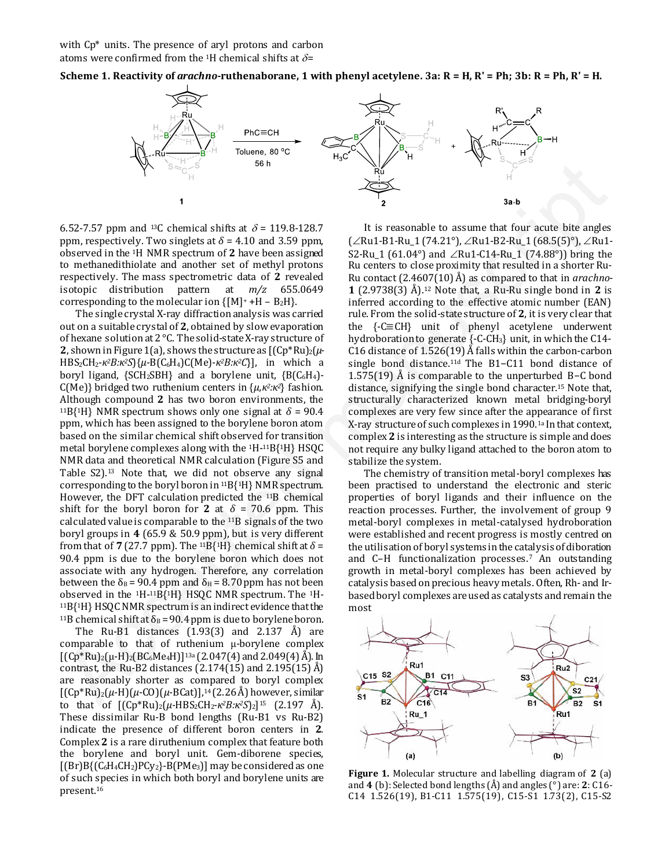with  $Cp^*$  units. The presence of aryl protons and carbon atoms were confirmed from the <sup>1</sup>H chemical shifts at  $\delta$ =





6.52-7.57 ppm and <sup>13</sup>C chemical shifts at  $\delta$  = 119.8-128.7 ppm, respectively. Two singlets at  $\delta$  = 4.10 and 3.59 ppm, observed in the 1H NMR spectrum of **2** have been assigned to methanedithiolate and another set of methyl protons respectively. The mass spectrometric data of **2** revealed isotopic distribution pattern at *m/z* 655.0649 corresponding to the molecular ion  $\{[M]^+ + H - B_2H\}$ .

The single crystal X-ray diffraction analysis was carried out on a suitable crystal of **2**, obtained by slow evaporation of hexane solution at 2 °C. The solid-state X-ray structure of **2**, shown in Figure 1(a), shows the structure as  $[(Cp*Ru)<sub>2</sub>(\mu-$ HBS2CH2-*κ2B:κ2S*){*µ*-B(C6H4)C(Me)-*κ2B:κ2C*}], in which a boryl ligand,  ${SCH_2SBH}$  and a borylene unit,  ${B(C_6H_4)}$ -C(Me)} bridged two ruthenium centers in {*µ,κ2:κ2*} fashion. Although compound **2** has two boron environments, the <sup>11</sup>B{<sup>1</sup>H} NMR spectrum shows only one signal at  $\delta$  = 90.4 ppm, which has been assigned to the borylene boron atom based on the similar chemical shift observed for transition metal borylene complexes along with the 1H-11B{1H} HSQC NMR data and theoretical NMR calculation (Figure S5 and Table S2).13 Note that, we did not observe any signal corresponding to the boryl boron in 11B{1H} NMR spectrum. However, the DFT calculation predicted the 11B chemical shift for the boryl boron for **2** at  $\delta$  = 70.6 ppm. This calculated value is comparable to the 11B signals of the two boryl groups in **4** (65.9 & 50.9 ppm), but is very different from that of **7** (27.7 ppm). The <sup>11</sup>B{<sup>1</sup>H} chemical shift at  $\delta$  = 90.4 ppm is due to the borylene boron which does not associate with any hydrogen. Therefore, any correlation between the  $\delta_B$  = 90.4 ppm and  $\delta_H$  = 8.70 ppm has not been observed in the 1H-11B{1H} HSQC NMR spectrum. The 1H-<sup>11</sup>B{1H} HSQC NMR spectrum is an indirect evidence that the <sup>11</sup>B chemical shift at  $\delta_B$  = 90.4 ppm is due to borylene boron. As  $\frac{1}{2\sqrt{2}}$  (52  $\frac{1}{2\sqrt{2}}$  and  $\frac{1}{2\sqrt{2}}$  and  $\frac{1}{2\sqrt{2}}$  and  $\frac{1}{2\sqrt{2}}$ <br>
Accepted manuscription and  $\frac{1}{2\sqrt{2}}$  and  $\frac{1}{2\sqrt{2}}$ <br>
(Fig. 1970). The straight state  $\frac{1}{2}$  and  $\frac{1}{2}$  and  $\frac{1}{2}$  a

The Ru-B1 distances  $(1.93(3)$  and  $2.137$  Å) are comparable to that of ruthenium μ-borylene complex  $[(Cp*Ru)<sub>2</sub>(\mu-H)<sub>2</sub>(BC<sub>6</sub>Me<sub>4</sub>H)]<sup>13a</sup>(2.047(4) and 2.049(4) Å).$  In contrast, the Ru-B2 distances  $(2.174(15)$  and  $2.195(15)$  Å) are reasonably shorter as compared to boryl complex  $[(Cp*Ru)<sub>2</sub>(\mu-H)(\mu-CO)(\mu-BCat)]$ ,<sup>14</sup> (2.26 Å) however, similar to that of [(Cp\*Ru)2(*µ*-HBS2CH2-*κ2B:κ2S*)2] <sup>15</sup> (2.197 Å). These dissimilar Ru-B bond lengths (Ru-B1 vs Ru-B2) indicate the presence of different boron centers in **2**. Complex **2** is a rare diruthenium complex that feature both the borylene and boryl unit. Gem-diborene species,  $[(Br)B{C_6H_4CH_2}PCy_2]$ -B(PMe<sub>3</sub>)] may be considered as one of such species in which both boryl and borylene units are present.<sup>16</sup>

It is reasonable to assume that four acute bite angles  $(\angle Ru1-B1-Ru_1 (74.21^\circ), \angle Ru1-B2-Ru_1 (68.5(5)^\circ), \angle Ru1-Bu_1$ S2-Ru 1 (61.04°) and  $\angle$ Ru1-C14-Ru 1 (74.88°)) bring the Ru centers to close proximity that resulted in a shorter Ru-Ru contact (2.4607(10) Å) as compared to that in *arachno*-**1** (2.9738(3) Å).12 Note that, a Ru-Ru single bond in **2** is inferred according to the effective atomic number (EAN) rule. From the solid-state structure of **2**, it is very clear that the {-C≡CH} unit of phenyl acetylene underwent hydroboration to generate {-C-CH3} unit, in which the C14- C16 distance of 1.526(19) Å falls within the carbon-carbon single bond distance.11d The B1−C11 bond distance of 1.575(19) Å is comparable to the unperturbed B−C bond distance, signifying the single bond character.15 Note that, structurally characterized known metal bridging-boryl complexes are very few since after the appearance of first X-ray structure of such complexes in 1990.1a In that context, complex **2** is interesting as the structure is simple and does not require any bulky ligand attached to the boron atom to stabilize the system.

The chemistry of transition metal-boryl complexes has been practised to understand the electronic and steric properties of boryl ligands and their influence on the reaction processes. Further, the involvement of group 9 metal-boryl complexes in metal-catalysed hydroboration were established and recent progress is mostly centred on the utilisation of boryl systems in the catalysis of diboration and C–H functionalization processes.7 An outstanding growth in metal-boryl complexes has been achieved by catalysis based on precious heavy metals. Often, Rh- and Irbased boryl complexes are used as catalysts and remain the most



**Figure 1.** Molecular structure and labelling diagram of **2** (a) and **4** (b): Selected bond lengths (Å) and angles (°) are: **2**: C16- C14 1.526(19), B1-C11 1.575(19), C15-S1 1.73(2), C15-S2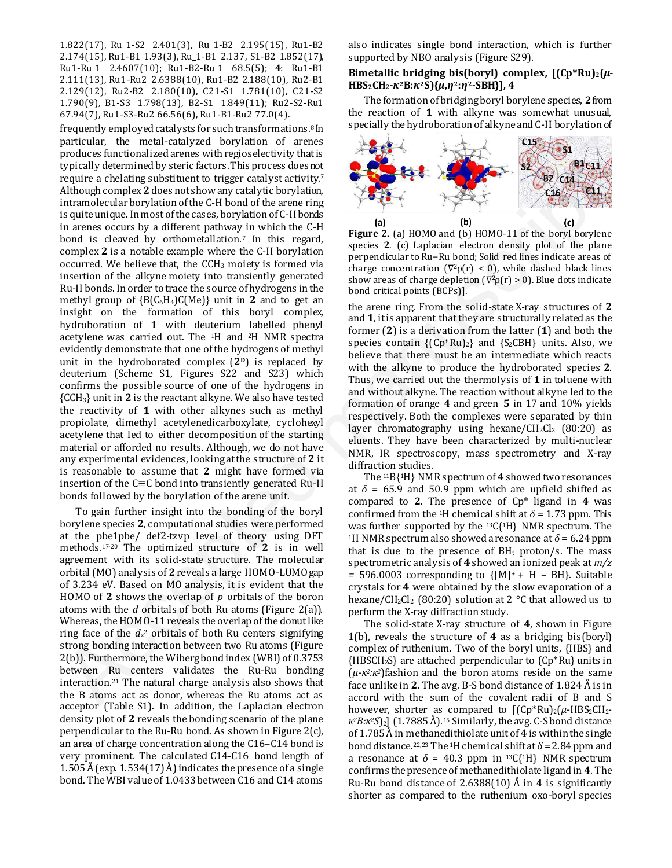1.822(17), Ru\_1-S2 2.401(3), Ru\_1-B2 2.195(15), Ru1-B2 2.174(15), Ru1-B1 1.93(3), Ru\_1-B1 2.137, S1-B2 1.852(17), Ru1-Ru\_1 2.4607(10); Ru1-B2-Ru\_1 68.5(5); **4**: Ru1-B1 2.111(13), Ru1-Ru2 2.6388(10), Ru1-B2 2.188(10), Ru2-B1 2.129(12), Ru2-B2 2.180(10), C21-S1 1.781(10), C21-S2 1.790(9), B1-S3 1.798(13), B2-S1 1.849(11); Ru2-S2-Ru1 67.94(7), Ru1-S3-Ru2 66.56(6), Ru1-B1-Ru2 77.0(4).

frequently employed catalysts for such transformations.8 In particular, the metal-catalyzed borylation of arenes produces functionalized arenes with regioselectivity that is typically determined by steric factors. This process does not require a chelating substituent to trigger catalyst activity.<sup>7</sup> Although complex **2** does not show any catalytic borylation, intramolecular borylation of the C-H bond of the arene ring is quite unique. In most of the cases, borylation of C-H bonds in arenes occurs by a different pathway in which the C-H bond is cleaved by orthometallation.<sup>7</sup> In this regard, complex **2** is a notable example where the C-H borylation occurred. We believe that, the  $CCH<sub>3</sub>$  moiety is formed via insertion of the alkyne moiety into transiently generated Ru-H bonds. In order to trace the source of hydrogens in the methyl group of  ${B(C_6H_4)C(Me)}$  unit in **2** and to get an insight on the formation of this boryl complex, hydroboration of **1** with deuterium labelled phenyl acetylene was carried out. The 1H and 2H NMR spectra evidently demonstrate that one of the hydrogens of methyl unit in the hydroborated complex  $(2<sup>p</sup>)$  is replaced by deuterium (Scheme S1, Figures S22 and S23) which confirms the possible source of one of the hydrogens in {CCH3} unit in **2** is the reactant alkyne. We also have tested the reactivity of **1** with other alkynes such as methyl propiolate, dimethyl acetylenedicarboxylate, cyclohexyl acetylene that led to either decomposition of the starting material or afforded no results. Although, we do not have any experimental evidences, looking at the structure of **2** it is reasonable to assume that **2** might have formed via insertion of the C≡C bond into transiently generated Ru-H bonds followed by the borylation of the arene unit. Upding denotes the controller of the systems of the manuscript of the system of the system of the system of the system of the system of the system of the system of the system of the system of the system of the system of t

To gain further insight into the bonding of the boryl borylene species **2**, computational studies were performed at the pbe1pbe/ def2-tzvp level of theory using DFT methods.17-20 The optimized structure of **2** is in well agreement with its solid-state structure. The molecular orbital (MO) analysis of **2** reveals a large HOMO-LUMO gap of 3.234 eV. Based on MO analysis, it is evident that the HOMO of **2** shows the overlap of *p* orbitals of the boron atoms with the *d* orbitals of both Ru atoms (Figure 2(a)). Whereas, the HOMO-11 reveals the overlap of the donut like ring face of the  $d_z$ <sup>2</sup> orbitals of both Ru centers signifying strong bonding interaction between two Ru atoms (Figure 2(b)). Furthermore, the Wiberg bond index (WBI) of 0.3753 between Ru centers validates the Ru-Ru bonding interaction.21 The natural charge analysis also shows that the B atoms act as donor, whereas the Ru atoms act as acceptor (Table S1). In addition, the Laplacian electron density plot of **2** reveals the bonding scenario of the plane perpendicular to the Ru-Ru bond. As shown in Figure 2(c), an area of charge concentration along the C16–C14 bond is very prominent. The calculated C14-C16 bond length of 1.505 Å (exp. 1.534(17) Å) indicates the presence of a single bond. The WBI value of 1.0433 between C16 and C14 atoms also indicates single bond interaction, which is further supported by NBO analysis (Figure S29).

### Bimetallic bridging bis(boryl) complex,  $[(Cp*Ru)_2(\mu-\mu)]$ **HBS2CH2-***κ***2B:***κ***2S){***µ***,***η***2:***η***2-SBH}], 4**

The formation of bridging boryl borylene species, **2** from the reaction of **1** with alkyne was somewhat unusual, specially the hydroboration of alkyne and C-H borylation of



**Figure 2.** (a) HOMO and (b) HOMO-11 of the boryl borylene species **2**. (c) Laplacian electron density plot of the plane perpendicular to Ru−Ru bond; Solid red lines indicate areas of charge concentration ( $\nabla^2 \rho(r) < 0$ ), while dashed black lines show areas of charge depletion  $(\nabla^2 \rho(r) > 0)$ . Blue dots indicate bond critical points (BCPs)].

the arene ring. From the solid-state X-ray structures of **2** and **1**, it is apparent that they are structurally related as the former (**2**) is a derivation from the latter (**1**) and both the species contain  ${({Cp*Ru)_2}}$  and  ${S_2CBH}$  units. Also, we believe that there must be an intermediate which reacts with the alkyne to produce the hydroborated species **2**. Thus, we carried out the thermolysis of **1** in toluene with and without alkyne. The reaction without alkyne led to the formation of orange **4** and green **5** in 17 and 10% yields respectively. Both the complexes were separated by thin layer chromatography using hexane/ $CH_2Cl_2$  (80:20) as eluents. They have been characterized by multi-nuclear NMR, IR spectroscopy, mass spectrometry and X-ray diffraction studies.

The 11B{1H} NMR spectrum of **4** showed two resonances at  $\delta$  = 65.9 and 50.9 ppm which are upfield shifted as compared to **2**. The presence of Cp\* ligand in **4** was confirmed from the <sup>1</sup>H chemical shift at  $\delta$  = 1.73 ppm. This was further supported by the 13C{1H} NMR spectrum. The <sup>1</sup>H NMR spectrum also showed a resonance at  $\delta$  = 6.24 ppm that is due to the presence of  $BH<sub>t</sub>$  proton/s. The mass spectrometric analysis of **4** showed an ionized peak at *m/z =* 596.0003 corresponding to {[M] <sup>+</sup> + H – BH}. Suitable crystals for **4** were obtained by the slow evaporation of a hexane/CH<sub>2</sub>Cl<sub>2</sub> (80:20) solution at 2  $\degree$ C that allowed us to perform the X-ray diffraction study.

The solid-state X-ray structure of **4**, shown in Figure 1(b), reveals the structure of **4** as a bridging bis(boryl) complex of ruthenium. Two of the boryl units, {HBS} and  ${HBSCH}_2S$  are attached perpendicular to  ${Cp*Ru}$  units in (*µ-κ2:κ2*)fashion and the boron atoms reside on the same face unlike in **2**. The avg. B-S bond distance of 1.824 Å is in accord with the sum of the covalent radii of B and S however, shorter as compared to  $[(Cp*Ru)<sub>2</sub>(\mu-HBS<sub>2</sub>CH<sub>2</sub>$ *κ2B:κ2S*)2] (1.7885 Å).15 Similarly, the avg. C-S bond distance of 1.785 Å in methanedithiolate unit of **4** is within the single bond distance.<sup>22,23</sup> The <sup>1</sup>H chemical shift at  $\delta$  = 2.84 ppm and a resonance at  $\delta$  = 40.3 ppm in <sup>13</sup>C{<sup>1</sup>H} NMR spectrum confirms the presence of methanedithiolate ligand in **4**. The Ru-Ru bond distance of 2.6388(10) Å in **4** is significantly shorter as compared to the ruthenium oxo-boryl species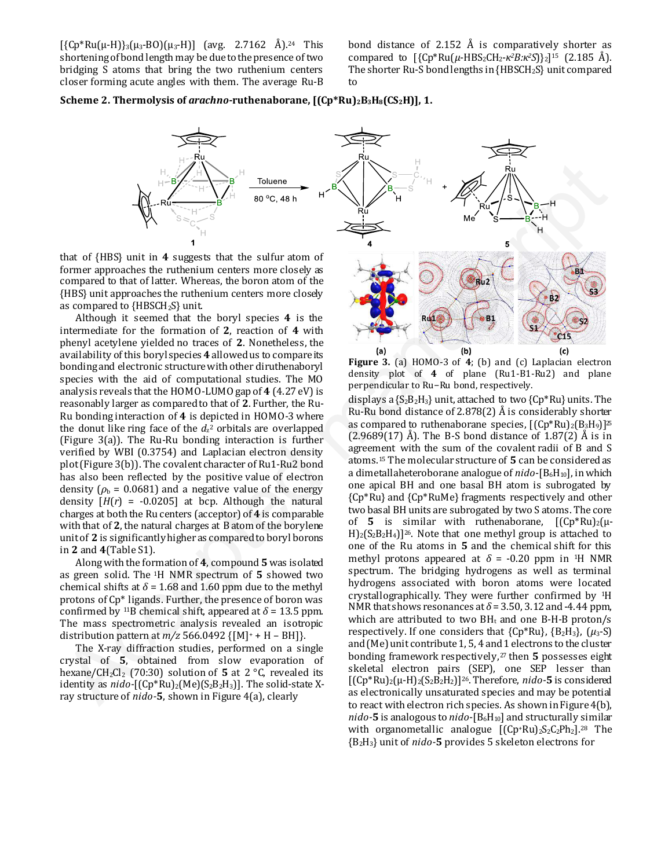$[{Cp*Ru(\mu-H)}_3(\mu_3-BO)(\mu_3-H)]$  (avg. 2.7162 Å).<sup>24</sup> This shortening of bond length may be due to the presence of two bridging S atoms that bring the two ruthenium centers closer forming acute angles with them. The average Ru-B bond distance of 2.152  $\AA$  is comparatively shorter as compared to [{Cp\*Ru(*µ*-HBS2CH2-*κ2B:κ2S*)}2] <sup>15</sup> (2.185 Å). The shorter Ru-S bond lengths in {HBSCH2S} unit compared to

#### **Scheme 2. Thermolysis of** *arachno***-ruthenaborane, [(Cp\*Ru)2B3H8(CS2H)], 1.**



that of {HBS} unit in **4** suggests that the sulfur atom of former approaches the ruthenium centers more closely as compared to that of latter. Whereas, the boron atom of the {HBS} unit approaches the ruthenium centers more closely as compared to {HBSCH2S} unit.

Although it seemed that the boryl species **4** is the intermediate for the formation of **2**, reaction of **4** with phenyl acetylene yielded no traces of **2**. Nonetheless, the availability of this boryl species **4** allowed us to compare its bonding and electronic structure with other diruthenaboryl species with the aid of computational studies. The MO analysis reveals that the HOMO-LUMO gap of **4** (4.27 eV) is reasonably larger as compared to that of **2**. Further, the Ru-Ru bonding interaction of **4** is depicted in HOMO-3 where the donut like ring face of the  $d_{z}$ <sup>2</sup> orbitals are overlapped (Figure 3(a)). The Ru-Ru bonding interaction is further verified by WBI (0.3754) and Laplacian electron density plot (Figure 3(b)). The covalent character of Ru1-Ru2 bond has also been reflected by the positive value of electron density  $(\rho_b = 0.0681)$  and a negative value of the energy density  $[H(r) = -0.0205]$  at bcp. Although the natural charges at both the Ru centers (acceptor) of **4** is comparable with that of **2**, the natural charges at B atom of the borylene unit of **2** is significantly higher as compared to boryl borons in **2** and **4**(Table S1).

Along with the formation of **4**, compound **5** was isolated as green solid. The 1H NMR spectrum of **5** showed two chemical shifts at  $\delta$  = 1.68 and 1.60 ppm due to the methyl protons of Cp\* ligands. Further, the presence of boron was confirmed by <sup>11</sup>B chemical shift, appeared at  $\delta$  = 13.5 ppm. The mass spectrometric analysis revealed an isotropic distribution pattern at  $m/z$  566.0492  $\{[M]^+ + H - BH]\}$ .

The X-ray diffraction studies, performed on a single crystal of **5**, obtained from slow evaporation of hexane/CH<sub>2</sub>Cl<sub>2</sub> (70:30) solution of **5** at 2  $\textdegree$ C, revealed its identity as *nido*-[(Cp\*Ru)<sub>2</sub>(Me)(S<sub>2</sub>B<sub>2</sub>H<sub>3</sub>)]. The solid-state Xray structure of *nido-***5**, shown in Figure 4(a), clearly



displays a  ${S_2B_2H_3}$  unit, attached to two  ${CD^*Ru}$  units. The Ru-Ru bond distance of 2.878(2) Å is considerably shorter as compared to ruthenaborane species,  $[(Cp*Ru)_2(B_3H_9)]^{\Sigma}$  $(2.9689(17)$  Å). The B-S bond distance of  $1.87(2)$  Å is in agreement with the sum of the covalent radii of B and S atoms.15 The molecular structure of **5** can be considered as a dimetallaheteroborane analogue of *nido*-[B<sub>6</sub>H<sub>10</sub>], in which one apical BH and one basal BH atom is subrogated by {Cp\*Ru} and {Cp\*RuMe} fragments respectively and other two basal BH units are subrogated by two S atoms. The core of **5** is similar with ruthenaborane,  $[(Cp*Ru)_2(\mu H_2(S_2B_2H_4)]^{26}$ . Note that one methyl group is attached to one of the Ru atoms in **5** and the chemical shift for this methyl protons appeared at  $\delta$  = -0.20 ppm in <sup>1</sup>H NMR spectrum. The bridging hydrogens as well as terminal hydrogens associated with boron atoms were located crystallographically. They were further confirmed by 1H NMR that shows resonances at  $\delta$  = 3.50, 3.12 and -4.44 ppm, which are attributed to two  $BH<sub>t</sub>$  and one B-H-B proton/s respectively. If one considers that {Cp\*Ru}, {B2H3}, (*μ*3-S) and (Me) unit contribute 1, 5, 4 and 1 electrons to the cluster bonding framework respectively,27 then **5** possesses eight skeletal electron pairs (SEP), one SEP lesser than [(Cp\*Ru)2(μ-H)2(S2B2H2)]26. Therefore, *nido-***5** is considered as electronically unsaturated species and may be potential to react with electron rich species. As shown in Figure 4(b), *nido*-**5** is analogous to *nido*- $[B_6H_{10}]$  and structurally similar with organometallic analogue  $[(Cp+Ru)_{2}S_{2}C_{2}Ph_{2}]$ .<sup>28</sup> The {B2H3} unit of *nido-***5** provides 5 skeleton electrons for Here of the system is a significant of the system is a significant of the system of the system of the system of the system of the system of the system of the system of the system of the system of the system of the system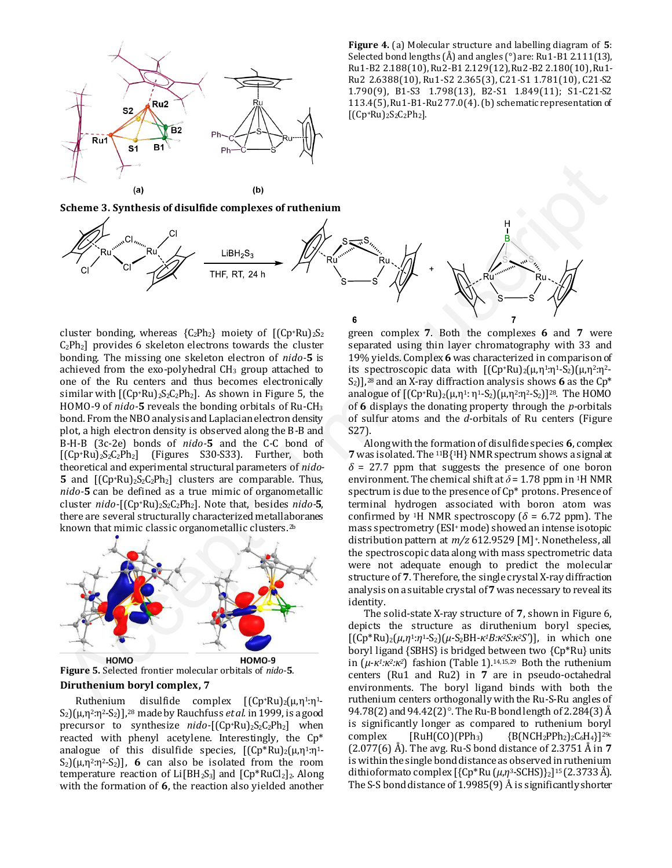

**Figure 4.** (a) Molecular structure and labelling diagram of **5**: Selected bond lengths (Å) and angles (°) are: Ru1-B1 2.111(13), Ru1-B2 2.188(10), Ru2-B1 2.129(12), Ru2-B2 2.180(10), Ru1- Ru2 2.6388(10), Ru1-S2 2.365(3), C21-S1 1.781(10), C21-S2 1.790(9), B1-S3 1.798(13), B2-S1 1.849(11); S1-C21-S2 113.4(5), Ru1-B1-Ru2 77.0(4). (b) schematic representation of  $[(Cp+Ru)_{2}S_{2}C_{2}Ph_{2}].$ 

**Scheme 3. Synthesis of disulfide complexes of ruthenium** 



cluster bonding, whereas  ${C_2Ph_2}$  moiety of  $[(Cp+Ru)_2S_2]$  $C_2Ph_2$ ] provides 6 skeleton electrons towards the cluster bonding. The missing one skeleton electron of *nido-***5** is achieved from the exo-polyhedral  $CH<sub>3</sub>$  group attached to one of the Ru centers and thus becomes electronically similar with  $[(Cp+Ru)<sub>2</sub>S<sub>2</sub>C<sub>2</sub>Ph<sub>2</sub>]$ . As shown in Figure 5, the HOMO-9 of *nido-***5** reveals the bonding orbitals of Ru-CH<sup>3</sup> bond. From the NBO analysis and Laplacian electron density plot, a high electron density is observed along the B-B and B-H-B (3c-2e) bonds of *nido-***5** and the C-C bond of  $[(Cp+Ru)<sub>2</sub>S<sub>2</sub>C<sub>2</sub>Ph<sub>2</sub>]$  (Figures S30-S33). Further, both theoretical and experimental structural parameters of *nido-***5** and  $[(Cp+Ru)_{2}S_{2}C_{2}Ph_{2}]$  clusters are comparable. Thus, *nido-***5** can be defined as a true mimic of organometallic cluster *nido-*[(Cp+Ru)2S2C2Ph2]. Note that, besides *nido-***5**, there are several structurally characterized metallaboranes known that mimic classic organometallic clusters.2b Scheme 3. Symbol of the Gill 1983<br>
Accepted manuscript (S)<br>
Accepted manuscript (S)<br>
THE FIT, 241<br>
THE FIT, 241<br>
THE FIT, 241<br>
Accepted manuscript (S) and a regular control in the complex of the symbol of the manuscript<br>



#### **Diruthenium boryl complex, 7**

Ruthenium disulfide complex  $[(Cp+Ru)_2(\mu,\eta^1:\eta^1$ -S2)(μ,η<sup>2</sup>:η<sup>2</sup>-S2)], <sup>28</sup> made by Rauchfuss *et al.* in 1999, is a good precursor to synthesize *nido*-[(Cp+Ru)<sub>2</sub>S<sub>2</sub>C<sub>2</sub>Ph<sub>2</sub>] when reacted with phenyl acetylene. Interestingly, the Cp\* analogue of this disulfide species,  $[(Cp*Ru)<sub>2</sub>(\mu,\eta<sup>1</sup>:\eta<sup>1</sup>)]$  $S_2$ [ $\mu$ ,  $\eta^2$ : $\eta^2$ - $S_2$ ], **6** can also be isolated from the room temperature reaction of  $Li[BH<sub>2</sub>S<sub>3</sub>]$  and  $[Cp*RuCl<sub>2</sub>]$ <sub>2</sub>. Along with the formation of **6**, the reaction also yielded another

green complex **7**. Both the complexes **6** and **7** were separated using thin layer chromatography with 33 and 19% yields. Complex **6** was characterized in comparison of its spectroscopic data with  $[(Cp+Ru)_2(\mu,\eta^1:\eta^1-S_2)(\mu,\eta^2:\eta^2-Y_1]^2]$ S2)],<sup>28</sup> and an X-ray diffraction analysis shows **6** as the Cp\* analogue of  $[(Cp+Ru)_2(\mu,\eta^1;\eta^1-S_2)(\mu,\eta^2;\eta^2-S_2)]^{28}$ . The HOMO of **6** displays the donating property through the *p*-orbitals of sulfur atoms and the *d*-orbitals of Ru centers (Figure S27).

Along with the formation of disulfide species **6**, complex **7** was isolated. The 11B{1H} NMR spectrum shows a signal at  $\delta$  = 27.7 ppm that suggests the presence of one boron environment. The chemical shift at  $\delta$  = 1.78 ppm in <sup>1</sup>H NMR spectrum is due to the presence of Cp\* protons. Presence of terminal hydrogen associated with boron atom was confirmed by <sup>1</sup>H NMR spectroscopy ( $\delta$  = 6.72 ppm). The mass spectrometry (ESI+ mode) showed an intense isotopic distribution pattern at *m/z* 612.9529 [M]+. Nonetheless, all the spectroscopic data along with mass spectrometric data were not adequate enough to predict the molecular structure of **7**. Therefore, the single crystal X-ray diffraction analysis on a suitable crystal of **7** was necessary to reveal its identity.

The solid-state X-ray structure of **7**, shown in Figure 6, depicts the structure as diruthenium boryl species, [(Cp\*Ru)2(*μ*,*η*1:*η*1-S2)(*μ*-S2BH-*κ1B:κ2S:κ2Sʹ*)], in which one boryl ligand {SBHS} is bridged between two {Cp\*Ru} units in (*μ*-*κ1:κ2:κ2*) fashion (Table 1).14,15,29 Both the ruthenium centers (Ru1 and Ru2) in **7** are in pseudo-octahedral environments. The boryl ligand binds with both the ruthenium centers orthogonally with the Ru-S-Ru angles of 94.78(2) and 94.42(2)°. The Ru-B bond length of 2.284(3) Å is significantly longer as compared to ruthenium boryl complex  $[RuH(CO)(PPh_3)$   ${B(NCH_2PPh_2)_{2}C_6H_4}$ ? (2.077(6) Å). The avg. Ru-S bond distance of 2.3751 Å in **7** is within the single bond distance as observed in ruthenium dithioformato complex [{Cp\*Ru (*µ*,*η*3-SCHS)}2] <sup>15</sup> (2.3733 Å). The S-S bond distance of 1.9985(9) Å is significantly shorter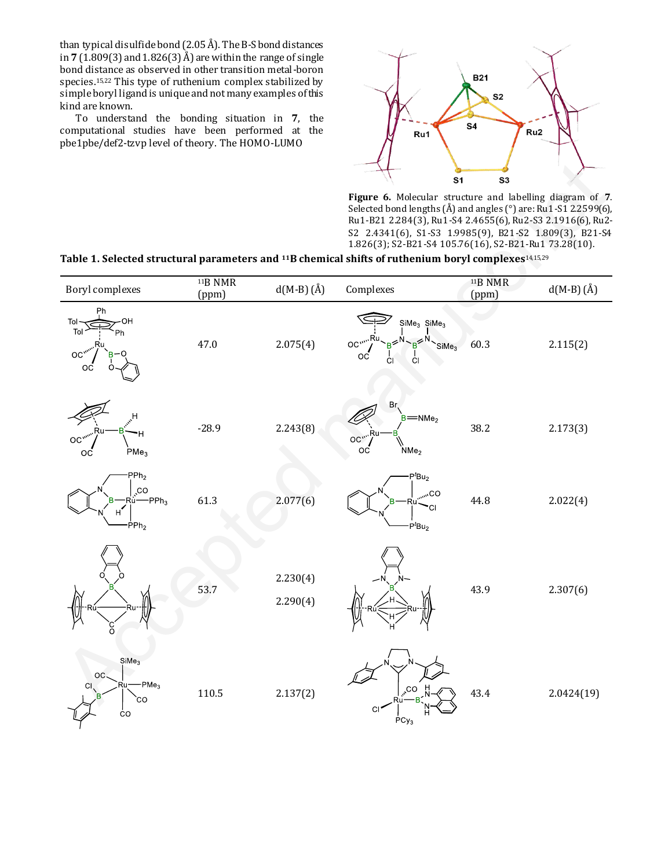than typical disulfide bond (2.05 Å). The B-S bond distances in **7** (1.809(3) and 1.826(3) Å) are within the range of single bond distance as observed in other transition metal-boron species.15,22 This type of ruthenium complex stabilized by simple boryl ligand is unique and not many examples of this kind are known.

To understand the bonding situation in **7**, the computational studies have been performed at the pbe1pbe/def2-tzvp level of theory. The HOMO-LUMO



### **Table 1. Selected structural parameters and 11B chemical shifts of ruthenium boryl complexes**14,15,29

|                                                                                                                              |                              |                      | S <sub>1</sub>                                                                                                                                                                                                                                                                                                | S3                           |             |
|------------------------------------------------------------------------------------------------------------------------------|------------------------------|----------------------|---------------------------------------------------------------------------------------------------------------------------------------------------------------------------------------------------------------------------------------------------------------------------------------------------------------|------------------------------|-------------|
| Table 1. Selected structural parameters and <sup>11</sup> B chemical shifts of ruthenium boryl complexes <sup>14,15,29</sup> |                              |                      | Figure 6. Molecular structure and labelling diagram of 7.<br>Selected bond lengths (Å) and angles (°) are: Ru1-S1 2.2599(6),<br>Ru1-B21 2.284(3), Ru1-S4 2.4655(6), Ru2-S3 2.1916(6), Ru2-<br>S2 2.4341(6), S1-S3 1.9985(9), B21-S2 1.809(3), B21-S4<br>1.826(3); S2-B21-S4 105.76(16), S2-B21-Ru1 73.28(10). |                              |             |
| <b>Boryl</b> complexes                                                                                                       | <sup>11</sup> B NMR<br>(ppm) | $d(M-B)(Å)$          | Complexes                                                                                                                                                                                                                                                                                                     | <sup>11</sup> B NMR<br>(ppm) | $d(M-B)(Å)$ |
| Ph<br>OH<br>Tol<br>Tol<br>OC,<br>OC                                                                                          | 47.0                         | 2.075(4)             | $Sime3$ SiMe <sub>3</sub><br>OC''<br>SiMe <sub>3</sub><br>ОC<br>ĊI                                                                                                                                                                                                                                            | 60.3                         | 2.115(2)    |
| н<br>PMe <sub>3</sub><br>ОC                                                                                                  | $-28.9$                      | 2.243(8)             | Br<br>$B = NMe2$<br>OC"<br>оc<br>NM <sub>e2</sub>                                                                                                                                                                                                                                                             | 38.2                         | 2.173(3)    |
| PPh <sub>2</sub><br>$\overline{C}$<br>$-PPh3$<br>·Rù-<br>H<br>$\dot{\mathsf{PPh}}_2$                                         | 61.3                         | 2.077(6)             | P <sup>t</sup> Bu <sub>2</sub><br><sub>mm</sub> CO<br>CI.<br>$-PtBu2$                                                                                                                                                                                                                                         | 44.8                         | 2.022(4)    |
|                                                                                                                              | 53.7                         | 2.230(4)<br>2.290(4) |                                                                                                                                                                                                                                                                                                               | 43.9                         | 2.307(6)    |
| SiMe <sub>3</sub><br>OC<br>PMe <sub>3</sub><br>CI.<br>cо<br>ĊO                                                               | 110.5                        | 2.137(2)             | CС<br>C.<br>$PCy_3$                                                                                                                                                                                                                                                                                           | 43.4                         | 2.0424(19)  |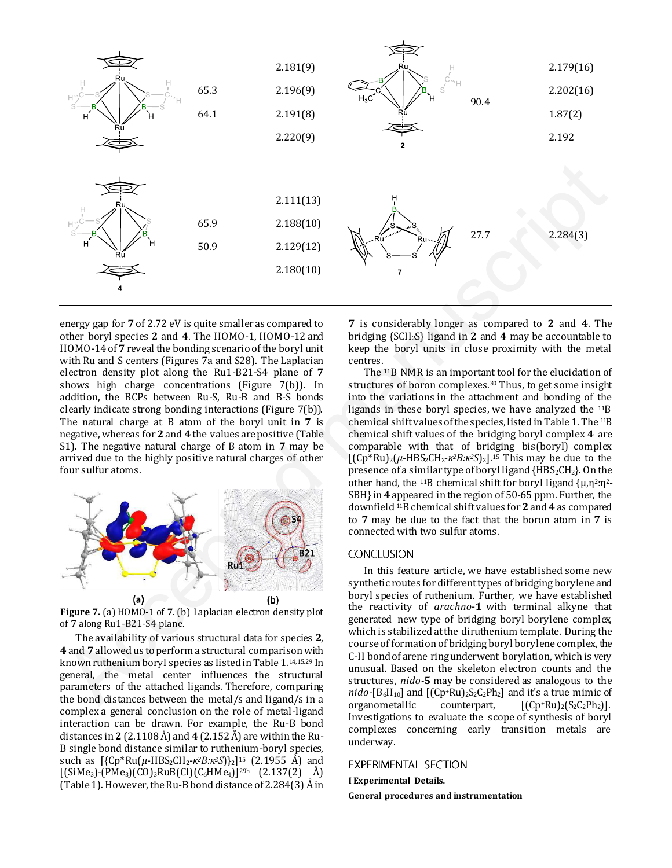

energy gap for **7** of 2.72 eV is quite smaller as compared to other boryl species **2** and **4**. The HOMO-1, HOMO-12 and HOMO-14 of **7** reveal the bonding scenario of the boryl unit with Ru and S centers (Figures 7a and S28). The Laplacian electron density plot along the Ru1-B21-S4 plane of **7** shows high charge concentrations (Figure 7(b)). In addition, the BCPs between Ru-S, Ru-B and B-S bonds clearly indicate strong bonding interactions (Figure 7(b)). The natural charge at B atom of the boryl unit in **7** is negative, whereas for **2** and **4** the values are positive (Table S1). The negative natural charge of B atom in **7** may be arrived due to the highly positive natural charges of other four sulfur atoms.



**Figure 7.** (a) HOMO-1 of **7**. (b) Laplacian electron density plot of **7** along Ru1-B21-S4 plane.

The availability of various structural data for species **2**, **4** and **7** allowed us to perform a structural comparison with known ruthenium boryl species as listed in Table 1.14,15,29 In general, the metal center influences the structural parameters of the attached ligands. Therefore, comparing the bond distances between the metal/s and ligand/s in a complex a general conclusion on the role of metal-ligand interaction can be drawn. For example, the Ru-B bond distances in **2** (2.1108 Å) and **4** (2.152 Å) are within the Ru-B single bond distance similar to ruthenium-boryl species, such as [{Cp\*Ru(*µ*-HBS2CH2-*κ2B:κ2S*)}2] <sup>15</sup> (2.1955 Å) and  $[(SiMe<sub>3</sub>)-(PMe<sub>3</sub>)(CO)<sub>3</sub>RuB(Cl)(C<sub>6</sub>HMe<sub>4</sub>)]<sup>29h</sup> (2.137(2) Å)$ (Table 1). However, the Ru-B bond distance of 2.284(3) Å in

**7** is considerably longer as compared to **2** and **4**. The bridging {SCH2S} ligand in **2** and **4** may be accountable to keep the boryl units in close proximity with the metal centres.

The <sup>11</sup>B NMR is an important tool for the elucidation of structures of boron complexes.30 Thus, to get some insight into the variations in the attachment and bonding of the ligands in these boryl species, we have analyzed the 11B chemical shift values of the species, listed in Table 1. The 11B chemical shift values of the bridging boryl complex **4** are comparable with that of bridging bis(boryl) complex [(Cp\*Ru)2(*µ*-HBS2CH2-*κ2B:κ2S*)2].15 This may be due to the presence of a similar type of boryl ligand {HBS<sub>2</sub>CH<sub>2</sub>}. On the other hand, the <sup>11</sup>B chemical shift for boryl ligand  $\{\mu, \eta^2:\eta^2-\}$ SBH} in **4** appeared in the region of 50-65 ppm. Further, the downfield 11B chemical shift values for **2** and **4** as compared to **7** may be due to the fact that the boron atom in **7** is connected with two sulfur atoms.

In this feature article, we have established some new synthetic routes for different types of bridging borylene and boryl species of ruthenium. Further, we have established the reactivity of *arachno*-**1** with terminal alkyne that generated new type of bridging boryl borylene complex, which is stabilized at the diruthenium template. During the course of formation of bridging boryl borylene complex, the C-H bond of arene ring underwent borylation, which is very unusual. Based on the skeleton electron counts and the structures, *nido-***5** may be considered as analogous to the *nido*-[B<sub>6</sub>H<sub>10</sub>] and [(Cp<sup>+</sup>Ru)<sub>2</sub>S<sub>2</sub>C<sub>2</sub>Ph<sub>2</sub>] and it's a true mimic of organometallic counterpart,  $[(Cp+Ru)_2(S_2C_2Ph_2)].$ Investigations to evaluate the scope of synthesis of boryl complexes concerning early transition metals are underway.

#### **EXPERIMENTAL SECTION**

**I Experimental Details.** 

**General procedures and instrumentation**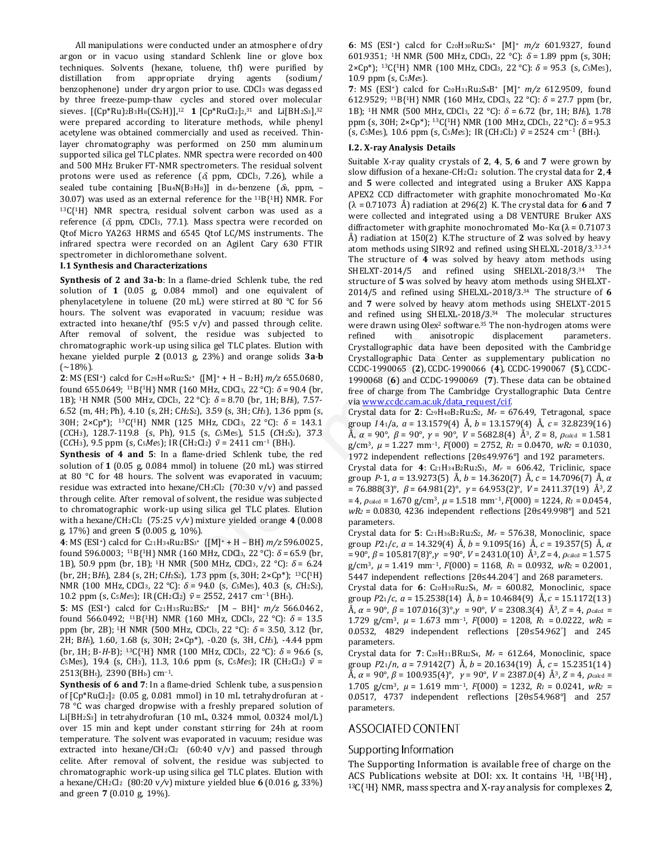All manipulations were conducted under an atmosphere of dry argon or in vacuo using standard Schlenk line or glove box techniques. Solvents (hexane, toluene, thf) were purified by distillation from appropriate drying agents (sodium/ benzophenone) under dry argon prior to use. CDCl3 was degassed by three freeze-pump-thaw cycles and stored over molecular sieves. [(Cp\*Ru)2B3H8(CS2H)],<sup>12</sup> **1** [Cp\*RuCl2]2, <sup>31</sup> and Li[BH2S3],<sup>32</sup> were prepared according to literature methods, while phenyl acetylene was obtained commercially and used as received. Thinlayer chromatography was performed on 250 mm aluminum supported silica gel TLC plates. NMR spectra were recorded on 400 and 500 MHz Bruker FT-NMR spectrometers. The residual solvent protons were used as reference  $(\delta,$  ppm, CDCl<sub>3</sub>, 7.26), while a sealed tube containing  $[Bu4N(B3H8)]$  in d6-benzene ( $\delta B$ , ppm, -30.07) was used as an external reference for the  $^{11}B{^1H}$  NMR. For <sup>13</sup>C{1H} NMR spectra, residual solvent carbon was used as a reference ( $\delta$ , ppm, CDCl<sub>3</sub>, 77.1). Mass spectra were recorded on Qtof Micro YA263 HRMS and 6545 Qtof LC/MS instruments. The infrared spectra were recorded on an Agilent Cary 630 FTIR spectrometer in dichloromethane solvent.

#### **I.1 Synthesis and Characterizations**

**Synthesis of 2 and 3a-b**: In a flame-dried Schlenk tube, the red solution of **1** (0.05 g, 0.084 mmol) and one equivalent of phenylacetylene in toluene (20 mL) were stirred at 80 °C for 56 hours. The solvent was evaporated in vacuum; residue was extracted into hexane/thf  $(95:5 \text{ v/v})$  and passed through celite. After removal of solvent, the residue was subjected to chromatographic work-up using silica gel TLC plates. Elution with hexane yielded purple **2** (0.013 g, 23%) and orange solids **3a**-**b**  $(-18%).$ 

**2**: MS (ESI<sup>+</sup>) calcd for C29H40Ru2S2<sup>+</sup> {[M]<sup>+</sup> + H – B2H} *m/z* 655.0680, found 655.0649; <sup>11</sup>B{<sup>1</sup>H} NMR (160 MHz, CDCl<sub>3</sub>, 22 °C):  $\delta$  = 90.4 (br, 1B); 1H NMR (500 MHz, CDCl3, 22 °C): *δ* = 8.70 (br, 1H; B*H*t), 7.57- 6.52 (m, 4H; Ph), 4.10 (s, 2H; C*H*2S2), 3.59 (s, 3H; C*H*3), 1.36 ppm (s, 30H; 2×Cp\*); 13C{1H} NMR (125 MHz, CDCl3, 22 °C): *δ* = 143.1 (*C*CH3), 128.7-119.8 (s, Ph), 91.5 (s, *C*5Me5), 51.5 (*C*H2S2), 37.3 (CCH<sub>3</sub>), 9.5 ppm (s, C<sub>5</sub>*Me*<sub>5</sub>); IR (CH<sub>2</sub>Cl<sub>2</sub>)  $\tilde{v}$  = 2411 cm<sup>-1</sup> (BH<sub>t</sub>).

**Synthesis of 4 and 5**: In a flame-dried Schlenk tube, the red solution of **1** (0.05 g, 0.084 mmol) in toluene (20 mL) was stirred at 80 °C for 48 hours. The solvent was evaporated in vacuum; residue was extracted into hexane/CH2Cl2  $(70:30 \text{ v/v})$  and passed through celite. After removal of solvent, the residue was subjected to chromatographic work-up using silica gel TLC plates. Elution with a hexane/CH2Cl2 (75:25 v*/*v) mixture yielded orange **4** (0.008 g, 17%) and green **5** (0.005 g, 10%).

**4**: MS (ESI+) calcd for C21H34Ru2BS<sup>3</sup> <sup>+</sup>{[M]<sup>+</sup> + H – BH} *m/z* 596.0025, found 596.0003; <sup>11</sup>B{1H} NMR (160 MHz, CDCl3, 22 °C): *δ* = 65.9 (br, 1B), 50.9 ppm (br, 1B); 1H NMR (500 MHz, CDCl3, 22 °C): *δ* = 6.24 (br, 2H; B*H*t), 2.84 (s, 2H; C*H*2S2), 1.73 ppm (s, 30H; 2×Cp\*); 13C{1H} NMR (100 MHz, CDCl3, 22 °C): *δ* = 94.0 (s, *C*5Me5), 40.3 (s, *C*H2S2), 10.2 ppm (s, C<sub>5</sub>*Me*<sub>5</sub>); IR (CH<sub>2</sub>Cl<sub>2</sub>)  $\tilde{v}$  = 2552, 2417 cm<sup>-1</sup> (BH<sub>t</sub>).

**5**: MS (ESI+) calcd for C21H35Ru2BS<sup>2</sup> <sup>+</sup>[M – BH]<sup>+</sup> *m/z* 566.0462, found 566.0492; <sup>11</sup>B{1H} NMR (160 MHz, CDCl3, 22 °C): *δ* = 13.5 ppm (br, 2B); 1H NMR (500 MHz, CDCl3, 22 °C): *δ* = 3.50, 3.12 (br, 2H; B*H*t), 1.60, 1.68 (s, 30H; 2×Cp\*), -0.20 (s, 3H, C*H*3), -4.44 ppm (br, 1H; B-*H*-B); 13C{1H} NMR (100 MHz, CDCl3, 22 °C): *δ* = 96.6 (s, *C*<sub>5</sub>Me<sub>5</sub>), 19.4 (s, C<sub>H3</sub>), 11.3, 10.6 ppm (s, C<sub>5</sub>Me<sub>5</sub>); IR (CH<sub>2</sub>Cl<sub>2</sub>)  $\tilde{v}$  = 2513(BHt), 2390 (BHb) cm<sup>-1</sup>.

**Synthesis of 6 and 7**: In a flame-dried Schlenk tube, a suspension of [Cp\*RuCl2]2 (0.05 g, 0.081 mmol) in 10 mL tetrahydrofuran at - 78 °C was charged dropwise with a freshly prepared solution of Li[BH2S3] in tetrahydrofuran (10 mL, 0.324 mmol, 0.0324 mol/L) over 15 min and kept under constant stirring for 24h at room temperature. The solvent was evaporated in vacuum; residue was extracted into hexane/CH<sub>2</sub>Cl<sub>2</sub> (60:40 v/v) and passed through celite. After removal of solvent, the residue was subjected to chromatographic work-up using silica gel TLC plates. Elution with a hexane/CH2Cl2 (80:20 v*/*v) mixture yielded blue **6** (0.016 g, 33%) and green **7** (0.010 g, 19%).

**6**: MS (ESI+) calcd for C20H30Ru2S<sup>4</sup> + [M]<sup>+</sup> *m/z* 601.9327, found 601.9351; <sup>1</sup>H NMR (500 MHz, CDCl<sub>3</sub>, 22 °C):  $\delta$  = 1.89 ppm (s, 30H; 2×Cp\*); 13C{1H} NMR (100 MHz, CDCl3, 22 °C): *δ* = 95.3 (s, *C*5Me5), 10.9 ppm (s, C5*Me*5).

**7**: MS (ESI+) calcd for C20H31Ru2S4B<sup>+</sup> [M]<sup>+</sup> *m/z* 612.9509, found 612.9529; <sup>11</sup>B{1H} NMR (160 MHz, CDCl3, 22 °C): *δ* = 27.7 ppm (br, 1B); 1H NMR (500 MHz, CDCl3, 22 °C): *δ* = 6.72 (br, 1H; B*H*t), 1.78 ppm (s, 30H;  $2\times Cp^*$ ); <sup>13</sup>C{<sup>1</sup>H} NMR (100 MHz, CDCl<sub>3</sub>, 22 °C):  $\delta$  = 95.3  $(s, C<sub>5</sub>Me<sub>5</sub>)$ , 10.6 ppm  $(s, C<sub>5</sub>Me<sub>5</sub>)$ ; IR  $(CH<sub>2</sub>Cl<sub>2</sub>)$   $\tilde{v} = 2524$  cm<sup>-1</sup> (BH<sub>t</sub>).

#### **I.2. X-ray Analysis Details**

Suitable X-ray quality crystals of **2**, **4**, **5**, **6** and **7** were grown by slow diffusion of a hexane-CH2Cl2 solution. The crystal data for **2**, **4** and **5** were collected and integrated using a Bruker AXS Kappa APEX2 CCD diffractometer with graphite monochromated Mo-Kα (λ = 0.71073 Å) radiation at 296(2) K. The crystal data for **6** and **7**  were collected and integrated using a D8 VENTURE Bruker AXS diffractometer with graphite monochromated Mo-K $\alpha$  ( $\lambda$  = 0.71073 Å) radiation at 150(2) K.The structure of **2** was solved by heavy atom methods using SIR92 and refined using SHELXL-2018/3.33,34 The structure of **4** was solved by heavy atom methods using SHELXT-2014/5 and refined using SHELXL-2018/3.34 The structure of **5** was solved by heavy atom methods using SHELXT-2014/5 and refined using SHELXL-2018/3.34 The structure of **6**  and **7** were solved by heavy atom methods using SHELXT-2015 and refined using SHELXL-2018/3.34 The molecular structures were drawn using Olex<sup>2</sup> software.<sup>35</sup> The non-hydrogen atoms were refined with anisotropic displacement parameters. Crystallographic data have been deposited with the Cambridge Crystallographic Data Center as supplementary publication no CCDC-1990065 (**2**), CCDC-1990066 (**4**), CCDC-1990067 (**5**), CCDC-1990068 (**6**) and CCDC-1990069 (**7**). These data can be obtained free of charge from The Cambridge Crystallographic Data Centre via www.ccdc.cam.ac.uk/data\_request/cif. and Stoffer F-N-Mi spectrossets. The residual solver Solveids Access 2000 Mindi of the spectrossets and [ma](http://www.ccdc.cam.ac.uk/data_request/cif)nuscripted manuscripted manuscripted manuscripted manuscripted manuscripted manuscripted manuscripted manuscripted

Crystal data for **2**: C29H40B2Ru2S2, *M<sup>r</sup>* = 676.49, Tetragonal, space group *I* 41/a, *a* = 13.1579(4) Å, *b* = 13.1579(4) Å, *c* = 32.8239(16) Å, *α* = 90°, *β* = 90°, *γ* = 90°, *V* = 5682.8(4) Å<sup>3</sup> , *Z* = 8, *ρ*calcd = 1.581  $g/cm^3$ ,  $\mu = 1.227$  mm<sup>-1</sup>,  $F(000) = 2752$ ,  $R_1 = 0.0470$ ,  $wR_2 = 0.1030$ , 1972 independent reflections [2θ≤49.976°] and 192 parameters.

Crystal data for **4**: C21H34B2Ru2S3, *M<sup>r</sup>* = 606.42, Triclinic, space group *P*-1, *a* = 13.9273(5) Å, *b* = 14.3620(7) Å, *c* = 14.7096(7) Å, *α* = 76.888(3)°, *β* = 64.981(2)°, *γ* = 64.953(2)°, *V* = 2411.37(19) Å<sup>3</sup> , *Z*   $= 4$ ,  $\rho_{\text{calcd}} = 1.670 \text{ g/cm}^3$ ,  $\mu = 1.518 \text{ mm}^{-1}$ ,  $F(000) = 1224$ ,  $R_1 = 0.0454$ , *wR<sup>2</sup>* = 0.0830, 4236 independent reflections [2θ≤49.998°] and 521 parameters.

Crystal data for **5**: C21H36B2Ru2S2, *M<sup>r</sup>* = 576.38, Monoclinic, space group *P*21/*c*, *a* = 14.329(4) Å, *b* = 9.1095(16) Å, *c* = 19.357(5) Å, *α* = 90°, *β* = 105.817(8)°,*γ* = 90°, *V* = 2431.0(10) Å<sup>3</sup> , *Z* = 4, *ρ*calcd = 1.575 g/cm<sup>3</sup> , *μ* = 1.419 mm–<sup>1</sup> , *F*(000) = 1168, *R*<sup>1</sup> = 0.0932, *wR*2 = 0.2001, 5447 independent reflections [2θ≤44.204° ] and 268 parameters.

Crystal data for **6**: C20H30Ru2S4, *M<sup>r</sup>* = 600.82, Monoclinic, space group *P*21/*c*, *a* = 15.2538(14) Å, *b* = 10.4684(9) Å, *c* = 15.1172(13) Å, *α* = 90°, *β* = 107.016(3)°,*γ* = 90°, *V* = 2308.3(4) Å<sup>3</sup> , *Z* = 4, *ρ*calcd = 1.729 g/cm<sup>3</sup> , *μ* = 1.673 mm–<sup>1</sup> , *F*(000) = 1208, *R*1 = 0.0222, *wR*2 = 0.0532, 4829 independent reflections [2θ≤54.962° ] and 245 parameters.

Crystal data for **7**: C20H31BRu2S4, *M<sup>r</sup>* = 612.64, Monoclinic, space group *P*21/*n*, *a* = 7.9142(7) Å, *b* = 20.1634(19) Å, *c* = 15.2351(14) Å, *α* = 90°, *β* = 100.935(4)°, *γ* = 90°, *V* = 2387.0(4) Å<sup>3</sup> , *Z* = 4, *ρ*calcd = 1.705 g/cm<sup>3</sup>,  $μ = 1.619$  mm<sup>-1</sup>,  $F(000) = 1232$ ,  $R_1 = 0.0241$ ,  $wR_2 =$ 0.0517, 4737 independent reflections [2θ≤54.968°] and 257 parameters.

### **ASSOCIATED CONTENT**

#### Supporting Information

The Supporting Information is available free of charge on the ACS Publications website at DOI: xx. It contains <sup>1</sup>H, <sup>11</sup>B{<sup>1</sup>H}, <sup>13</sup>C{1H} NMR, mass spectra and X-ray analysis for complexes **2**,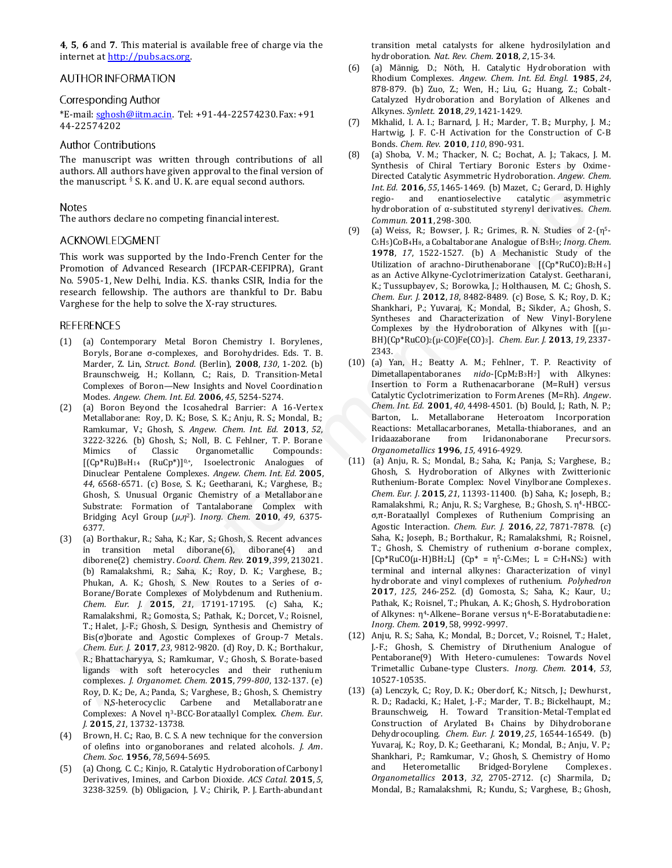**4**, **5**, **6** and **7**. This material is available free of charge via the internet a[t http://pubs.acs.org.](http://pubs.acs.org/)

### **AUTHOR INFORMATION**

### Corresponding Author

\*E-mail: [sghosh@iitm.ac.in.](mailto:sghosh@iitm.ac.in) Tel: +91-44-22574230. Fax: +91 44-22574202

### **Author Contributions**

The manuscript was written through contributions of all authors. All authors have given approval to the final version of the manuscript.  $§ S. K.$  and U.K. are equal second authors.

The authors declare no competing financial interest.

This work was supported by the Indo-French Center for the Promotion of Advanced Research (IFCPAR-CEFIPRA), Grant No. 5905-1, New Delhi, India. K.S. thanks CSIR, India for the research fellowship. The authors are thankful to Dr. Babu Varghese for the help to solve the X-ray structures.

- (1) (a) Contemporary Metal Boron Chemistry I. Borylenes , Boryls, Borane σ-complexes, and Borohydrides. Eds. T. B. Marder, Z. Lin, *Struct. Bond.* (Berlin), **2008**, *130*, 1-202. (b) Braunschweig, H.; Kollann, C.; Rais, D. Transition‐Metal Complexes of Boron—New Insights and Novel Coordination Modes. *Angew. Chem. Int. Ed.* **2006**, *45*, 5254-5274.
- (2) (a) Boron Beyond the Icosahedral Barrier: A 16-Vertex Metallaborane: Roy, D. K.; Bose, S. K.; Anju, R. S.; Mondal, B.; Ramkumar, V.; Ghosh, S. *Angew. Chem. Int. Ed.* **2013**, *52*, 3222-3226. (b) Ghosh, S.; Noll, B. C. Fehlner, T. P. Borane Mimics of Classic Organometallic Compounds:  $[(Cp*Ru)BaH<sub>14</sub> (RuCp*)]<sup>0,+</sup>$ , Isoelectronic Analogues of Dinuclear Pentalene Complexes. *Angew. Chem. Int. Ed.* **2005**, *44*, 6568-6571. (c) Bose, S. K.; Geetharani, K.; Varghese, B.; Ghosh, S. Unusual Organic Chemistry of a Metallabor ane Substrate: Formation of Tantalaborane Complex with Bridging Acyl Group (*μ*,*η* <sup>2</sup>). *Inorg. Chem.* **2010**, *49*, 6375- 6377.
- (3) (a) Borthakur, R.; Saha, K.; Kar, S.; Ghosh, S. Recent advances in transition metal diborane(6), diborane(4) and diborene(2) chemistry. *Coord. Chem. Rev.* **2019**, *399*, 213021. (b) Ramalakshmi, R.; Saha, K.; Roy, D. K.; Varghese, B.; Phukan, A. K.; Ghosh, S. New Routes to a Series of σ-Borane/Borate Complexes of Molybdenum and Ruthenium. *Chem. Eur. J.* **2015**, *21*, 17191-17195. (c) Saha, K.; Ramalakshmi, R.; Gomosta, S.; Pathak, K.; Dorcet, V.; Roisnel, T.; Halet, J.-F.; Ghosh, S. Design, Synthesis and Chemistry of Bis(σ)borate and Agostic Complexes of Group-7 Metals. *Chem. Eur. J.* **2017**, *23*, 9812-9820. (d) Roy, D. K.; Borthakur, R.; Bhattacharyya, S.; Ramkumar, V.; Ghosh, S. Borate-based ligands with soft heterocycles and their ruthenium complexes. *J. Organomet. Chem.* **2015**, *799-800*, 132-137. (e) Roy, D. K.; De, A.; Panda, S.; Varghese, B.; Ghosh, S. Chemistry of N,S-heterocyclic Carbene and Metallaboratr ane Complexes: A Novel η<sup>3</sup> -BCC-Borataallyl Complex. *Chem. Eur. J.* **2015**, *21*, 13732-13738. under all the states of the state is of the limit of the state is the state of the state of the state of the state of the state of the state of the state of the state of the state of the state of the state of the state of
- (4) Brown, H. C.; Rao, B. C. S. A new technique for the conversion of olefins into organoboranes and related alcohols. *J. Am. Chem. Soc.* **1956**, *78*, 5694-5695.
- (5) (a) Chong, C. C.; Kinjo, R. Catalytic Hydroboration of Carbony l Derivatives, Imines, and Carbon Dioxide. *ACS Catal.* **2015**, *5*, 3238-3259. (b) Obligacion, J. V.; Chirik, P. J. Earth-abundant

transition metal catalysts for alkene hydrosilylation and hydroboration. *Nat. Rev. Chem.* **2018**, *2*, 15-34.

- (6) (a) Männig, D.; Nöth, H. Catalytic Hydroboration with Rhodium Complexes. *Angew. Chem. Int. Ed. Engl.* **1985**, *24*, 878-879. (b) Zuo, Z.; Wen, H.; Liu, G.; Huang, Z.; Cobalt-Catalyzed Hydroboration and Borylation of Alkenes and Alkynes. *Synlett.* **2018**, *29*, 1421-1429.
- (7) Mkhalid, I. A. I.; Barnard, J. H.; Marder, T. B.; Murphy, J. M.; Hartwig, J. F. C-H Activation for the Construction of C-B Bonds. *Chem. Rev.* **2010**, *110*, 890-931.
- (8) (a) Shoba, V. M.; Thacker, N. C.; Bochat, A. J.; Takacs, J. M. Synthesis of Chiral Tertiary Boronic Esters by Oxime-Directed Catalytic Asymmetric Hydroboration. *Angew. Chem. Int. Ed.* **2016**, *55*, 1465-1469. (b) Mazet, C.; Gerard, D. Highly regio- and enantioselective catalytic asymmetric hydroboration of α-substituted styrenyl derivatives. *Chem. Commun.* **2011**, 298-300.
- (9) (a) Weiss, R.; Bowser, J. R.; Grimes, R. N. Studies of  $2-(\eta^5-$ C5H5)CoB4H8, a Cobaltaborane Analogue of B5H9; *Inorg. Chem.* **1978**, *17*, 1522-1527. (b) A Mechanistic Study of the Utilization of arachno-Diruthenaborane [(Cp\*RuCO)2B2H6] as an Active Alkyne-Cyclotrimerization Catalyst. Geetharani, K.; Tussupbayev, S.; Borowka, J.; Holthausen, M. C.; Ghosh, S. *Chem. Eur. J.* **2012**, *18*, 8482-8489. (c) Bose, S. K.; Roy, D. K.; Shankhari, P.; Yuvaraj, K.; Mondal, B.; Sikder, A.; Ghosh, S. Syntheses and Characterization of New Vinyl-Borylene Complexes by the Hydroboration of Alkynes with [(μ3- BH)(Cp\*RuCO)2(μ-CO)Fe(CO)3]. *Chem. Eur. J.* **2013**, *19*, 2337- 2343.
- (10) (a) Yan, H.; Beatty A. M.; Fehlner, T. P. Reactivity of Dimetallapentaboranes *nido*‐[CpM2B3H7] with Alkynes: Insertion to Form a Ruthenacarborane (M=RuH) versus Catalytic Cyclotrimerization to Form Arenes (M=Rh). *Angew. Chem. Int. Ed.* **2001**, *40*, 4498-4501. (b) Bould, J.; Rath, N. P.; Barton, L. Metallaborane Heteroatom Incorporation Reactions: Metallacarboranes, Metalla-thiaboranes, and an Iridaazaborane from Iridanonaborane Precursors. *Organometallics* **1996**, *15,* 4916-4929.
- (11) (a) Anju, R. S.; Mondal, B.; Saha, K.; Panja, S.; Varghese, B.; Ghosh, S. Hydroboration of Alkynes with Zwitterionic Ruthenium-Borate Complex: Novel Vinylborane Complexes . *Chem. Eur. J*. **2015**, *21*, 11393-11400. (b) Saha, K.; Joseph, B.; Ramalakshmi, R.; Anju, R. S.; Varghese, B.; Ghosh, S. η<sup>4</sup>-HBCCσ,π‐Borataallyl Complexes of Ruthenium Comprising an Agostic Interaction. *Chem. Eur. J.* **2016**, *22*, 7871-7878. (c) Saha, K.; Joseph, B.; Borthakur, R.; Ramalakshmi, R.; Roisnel, T.; Ghosh, S. Chemistry of ruthenium σ-borane complex,  $[Cp*RuCO(\mu-H)BH_2L]$   $(Cp* = \eta^5-C_5Me_s; L = C_7H_4NS_2)$  with terminal and internal alkynes: Characterization of vinyl hydroborate and vinyl complexes of ruthenium. *Polyhedron* **2017**, *125*, 246-252. (d) Gomosta, S.; Saha, K.; Kaur, U.; Pathak, K.; Roisnel, T.; Phukan, A. K.; Ghosh, S. Hydroboration of Alkynes: η<sup>4</sup> -Alkene–Borane versus η<sup>4</sup> -E-Boratabutadiene: *Inorg. Chem.* **2019**, 58, 9992-9997.
- (12) Anju, R. S.; Saha, K.; Mondal, B.; Dorcet, V.; Roisnel, T.; Halet , J.-F.; Ghosh, S. Chemistry of Diruthenium Analogue of Pentaborane(9) With Hetero-cumulenes: Towards Novel Trimetallic Cubane-type Clusters. *Inorg. Chem.* **2014**, *53*, 10527-10535.
- (13) (a) Lenczyk, C.; Roy, D. K.; Oberdorf, K.; Nitsch, J.; Dewhurst , R. D.; Radacki, K.; Halet, J.-F.; Marder, T. B.; Bickelhaupt, M.; Braunschweig, H. Toward Transition-Metal-Templat ed Construction of Arylated B4 Chains by Dihydroborane Dehydrocoupling. *Chem. Eur. J.* **2019**, *25*, 16544-16549. (b) Yuvaraj, K.; Roy, D. K.; Geetharani, K.; Mondal, B.; Anju, V. P.; Shankhari, P.; Ramkumar, V.; Ghosh, S. Chemistry of Homo and Heterometallic Bridged-Borylene Complexes . *Organometallics* **2013**, *32*, 2705-2712. (c) Sharmila, D.; Mondal, B.; Ramalakshmi, R.; Kundu, S.; Varghese, B.; Ghosh,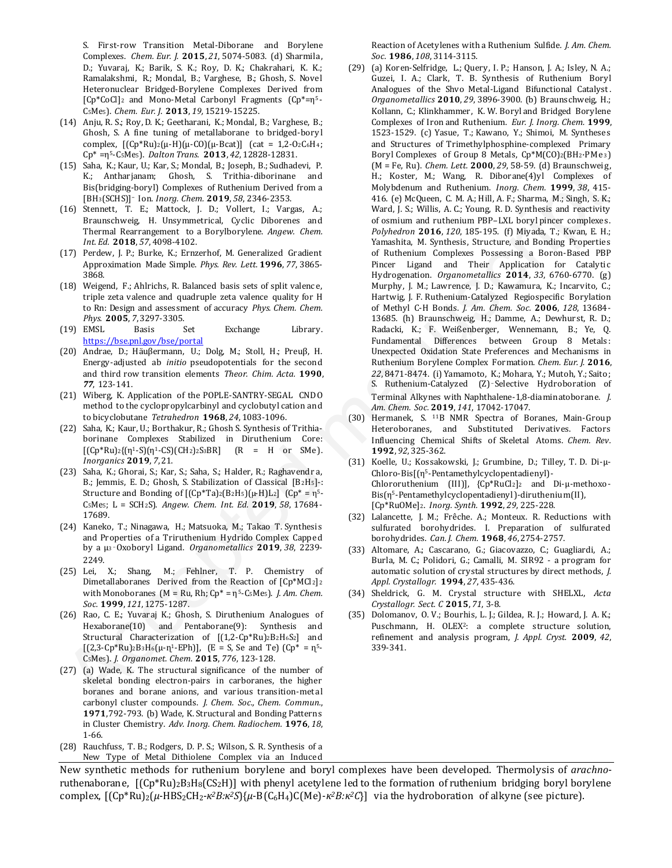S. First-row Transition Metal-Diborane and Borylene Complexes. *Chem. Eur. J.* **2015**, *21*, 5074-5083. (d) Sharmila, D.; Yuvaraj, K.; Barik, S. K.; Roy, D. K.; Chakrahari, K. K.; Ramalakshmi, R.; Mondal, B.; Varghese, B.; Ghosh, S. Novel Heteronuclear Bridged-Borylene Complexes Derived from [Cp\*CoCl]2 and Mono-Metal Carbonyl Fragments (Cp\*=η<sup>5</sup> - C5Me5). *Chem. Eur. J*. **2013**, *19,* 15219-15225.

- (14) Anju, R. S.; Roy, D. K.; Geetharani, K.; Mondal, B.; Varghese, B.; Ghosh, S. A fine tuning of metallaborane to bridged-bory l complex,  $[(Cp*Ru)2(μ-H)(μ-CO)(μ-Bcat)]$  (cat = 1,2-02C6H<sub>4</sub>; Cp\* =η<sup>5</sup> -C5Me5). *Dalton Trans.* **2013**, *42*, 12828-12831.
- (15) Saha, K.; Kaur, U.; Kar, S.; Mondal, B.; Joseph, B.; Sudhadevi, P. K.; Antharjanam; Ghosh, S. Trithia-diborinane and Bis(bridging-boryl) Complexes of Ruthenium Derived from a [BH3(SCHS)]<sup>−</sup> Ion. *Inorg. Chem.* **2019**, *58*, 2346-2353.
- (16) Stennett, T. E.; Mattock, J. D.; Vollert, I.; Vargas, A.; Braunschweig, H. Unsymmetrical, Cyclic Diborenes and Thermal Rearrangement to a Borylborylene. *Angew. Chem. Int. Ed.* **2018**, *57*, 4098-4102.
- (17) Perdew, J. P.; Burke, K.; Ernzerhof, M. Generalized Gradient Approximation Made Simple. *Phys. Rev. Lett.* **1996**, *77*, 3865- 3868.
- (18) Weigend, F.; Ahlrichs, R. Balanced basis sets of split valence, triple zeta valence and quadruple zeta valence quality for H to Rn: Design and assessment of accuracy *Phys. Chem. Chem. Phys.* **2005**, *7*, 3297-3305.
- (19) EMSL Basis Set Exchange Library. https://bse.pnl.gov/bse/portal
- (20) Andrae, D.; Häuβermann, U.; Dolg, M.; Stoll, H.; Preuβ, H. Energy-adjusted ab *initio* pseudopotentials for the second and third row transition elements *Theor. Chim. Acta.* **1990**, *77*, 123-141.
- (21) Wiberg, K. Application of the POPLE-SANTRY-SEGAL CNDO method to the cyclopropylcarbinyl and cyclobutyl cation and to bicyclobutane *Tetrahedron* **1968**, *24*, 1083-1096.
- (22) Saha, K.; Kaur, U.; Borthakur, R.; Ghosh S. Synthesis of Trithiaborinane Complexes Stabilized in Diruthenium Core:  $[(Cp*Ru)_{2}\{(n^{1}-S)(n^{1}-CS)(CH_{2})_{2}S_{3}BR]$   $(R = H \text{ or } SMe).$ *Inorganics* **2019**, *7*, 21.
- (23) Saha, K.; Ghorai, S.; Kar, S.; Saha, S.; Halder, R.; Raghavendr a, B.; Jemmis, E. D.; Ghosh, S. Stabilization of Classical [B2H5]‐: Structure and Bonding of  $[(Cp*Ta)2(BzH5)(µ-H)L2]$   $(Cp* = η<sup>5</sup> -$ C5Me5; L = SCH2S). *Angew. Chem. Int. Ed.* **2019**, *58*, 17684- 17689.
- (24) Kaneko, T.; Ninagawa, H.; Matsuoka, M.; Takao T. Synthesis and Properties of a Triruthenium Hydrido Complex Capped by a μ3‑Oxoboryl Ligand. *Organometallics* **2019**, *38*, 2239- 2249.
- (25) Lei, X.; Shang, M.; Fehlner, T. P. Chemistry of Dimetallaboranes Derived from the Reaction of [Cp\*MCl2] <sup>2</sup> with Monoboranes (M = Ru, Rh; Cp\* = η<sup>5</sup> -C5Me5). *J. Am. Chem. Soc.* **1999**, *121*, 1275-1287.
- (26) Rao, C. E.; Yuvaraj K.; Ghosh, S. Diruthenium Analogues of Hexaborane(10) and Pentaborane(9): Synthesis and Structural Characterization of [(1,2-Cp\*Ru)2B2H6S2] and  $[(2,3-Cp*Ru)_{2}B_{3}H_{6}(\mu-\eta^{1}-EPh)],$  (E = S, Se and Te) (Cp<sup>\*</sup> =  $\eta^{5}$ -C5Me5). *J*. *Organomet. Chem*. **2015**, *776*, 123-128.
- (27) (a) Wade, K. The structural significance of the number of skeletal bonding electron-pairs in carboranes, the higher boranes and borane anions, and various transition-metal carbonyl cluster compounds. *J. Chem. Soc., Chem. Commun.*, **1971**, 792-793. (b) Wade, K. Structural and Bonding Patterns in Cluster Chemistry. *Adv. Inorg. Chem. Radiochem.* **1976**, *18*, 1-66.
- (28) Rauchfuss, T. B.; Rodgers, D. P. S.; Wilson, S. R. Synthesis of a New Type of Metal Dithiolene Complex via an Induced

Reaction of Acetylenes with a Ruthenium Sulfide*. J. Am. Chem. Soc.* **1986**, *108*, 3114-3115.

- (29) (a) Koren-Selfridge, L.; Query, I. P.; Hanson, J. A.; Isley, N. A.; Guzei, I. A.; Clark, T. B. Synthesis of Ruthenium Boryl Analogues of the Shvo Metal-Ligand Bifunctional Catalyst. *Organometallics* **2010**, *29*, 3896-3900. (b) Braunschweig, H.; Kollann, C.; Klinkhammer, K. W. Boryl and Bridged Borylene Complexes of Iron and Ruthenium. *Eur. J. Inorg. Chem.* **1999**, 1523-1529. (c) Yasue, T.; Kawano, Y.; Shimoi, M. Syntheses and Structures of Trimethylphosphine-complexed Primary Boryl Complexes of Group 8 Metals, Cp\*M(CO)2(BH2·PMe<sup>3</sup> ) (M = Fe, Ru). *Chem. Lett.* **2000**, *29*, 58-59. (d) Braunschweig, H.; Koster, M.; Wang, R. Diborane(4)yl Complexes of Molybdenum and Ruthenium. *Inorg. Chem.* **1999**, *38*, 415- 416. (e) McQueen, C. M. A.; Hill, A. F.; Sharma, M.; Singh, S. K.; Ward, J. S.; Willis, A. C.; Young, R. D. Synthesis and reactivity of osmium and ruthenium PBP–LXL boryl pincer complexes . *Polyhedron* **2016**, *120*, 185-195. (f) Miyada, T.; Kwan, E. H.; Yamashita, M. Synthesis, Structure, and Bonding Properties of Ruthenium Complexes Possessing a Boron-Based PBP Pincer Ligand and Their Application for Catalytic Hydrogenation. *Organometallics* **2014**, *33*, 6760-6770. (g) Murphy, J. M.; Lawrence, J. D.; Kawamura, K.; Incarvito, C.; Hartwig, J. F. Ruthenium-Catalyzed Regiospecific Borylation of Methyl C-H Bonds. *J. Am. Chem. Soc.* **2006**, *128*, 13684- 13685. (h) Braunschweig, H.; Damme, A.; Dewhurst, R. D.; Radacki, K.; F. Weißenberger, Wennemann, B.; Ye, Q. Fundamental Differences between Group 8 Metals: Unexpected Oxidation State Preferences and Mechanisms in Ruthenium Borylene Complex Formation. *Chem. Eur. J.* **2016**, *22*, 8471-8474. (i) Yamamoto, K.; Mohara, Y.; Mutoh, Y.; Saito; S. Ruthenium-Catalyzed (Z)‑Selective Hydroboration of Terminal Alkynes with Naphthalene-1,8-diaminatoborane. *J. Am. Chem. Soc.* **2019**, *141*, 17042-17047. (13) Mok Koster, U. Koster, Mok Koster, Mok Koster, Mok Koster, Mok Koster, Mok Koster, Mok Koster, Mok Koster, Mok Koster, Mok Koster, Mok Koster, Mok Koster, Mok Koster, Mok Koster, Mok Koster, Mok Koster, Mok Koster, M
	- (30) Hermanek, S. 11B NMR Spectra of Boranes, Main-Group Heteroboranes, and Substituted Derivatives. Factors Influencing Chemical Shifts of Skeletal Atoms. *Chem. Rev.* **1992**, *92*, 325-362.
	- (31) Koelle, U.; Kossakowski, J.; Grumbine, D.; Tilley, T. D. Di-μ-Chloro-Bis[(η<sup>5</sup> -Pentamethylcyclopentadienyl)- Chlororuthenium (III)], {Cp\*RuCl2]2 and Di-μ-methoxo - Bis(η<sup>5</sup> -Pentamethylcyclopentadienyl)-diruthenium(II), [Cp\*RuOMe]2. *Inorg. Synth.* **1992**, *29*, 225-228.
	- (32) Lalancette, J. M.; Frêche. A.; Monteux. R. Reductions with sulfurated borohydrides. I. Preparation of sulfurated borohydrides. *Can. J. Chem.* **1968**, *46*, 2754-2757.
	- (33) Altomare, A.; Cascarano, G.; Giacovazzo, C.; Guagliardi, A.; Burla, M. C.; Polidori, G.; Camalli, M. SIR92 - a program for automatic solution of crystal structures by direct methods, *J. Appl. Crystallogr.* **1994**, *27*, 435-436.
	- (34) Sheldrick, G. M. Crystal structure with SHELXL, *Acta Crystallogr. Sect. C* **2015**, *71*, 3-8.
	- (35) Dolomanov, O. V.; Bourhis, L. J.; Gildea, R. J.; Howard, J. A. K.; Puschmann, H. OLEX<sup>2</sup>: a complete structure solution, refinement and analysis program, *J. Appl. Cryst.* **2009**, *42*, 339-341.

New synthetic methods for ruthenium borylene and boryl complexes have been developed. Thermolysis of *arachno*ruthenaborane,  $[(Cp*Ru)_{2}B_{3}H_{8}(CS_{2}H)]$  with phenyl acetylene led to the formation of ruthenium bridging boryl borylene complex,  $[(Cp*Ru)_{2}(\mu-HBS_{2}CH_{2}‐\kappa^{2}B:\kappa^{2}S)\{\mu-B(C_{6}H_{4})C(Me)-\kappa^{2}B:\kappa^{2}C\}]$  via the hydroboration of alkyne (see picture).